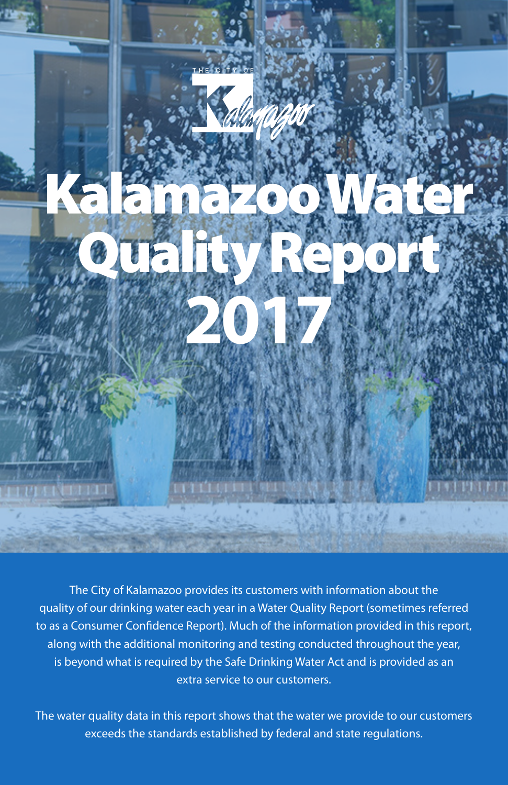

The City of Kalamazoo provides its customers with information about the quality of our drinking water each year in a Water Quality Report (sometimes referred to as a Consumer Confidence Report). Much of the information provided in this report, along with the additional monitoring and testing conducted throughout the year, is beyond what is required by the Safe Drinking Water Act and is provided as an extra service to our customers.

The water quality data in this report shows that the water we provide to our customers exceeds the standards established by federal and state regulations.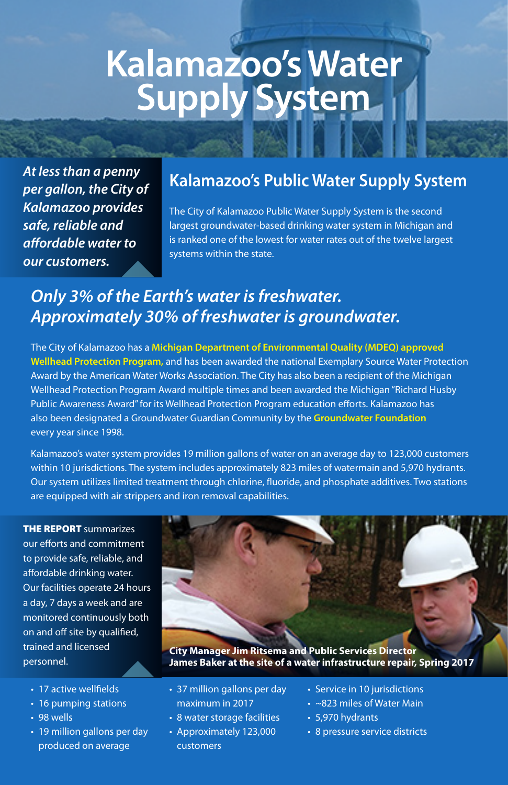# **Kalamazoo's Water Supply System**

*At less than a penny per gallon, the City of Kalamazoo provides safe, reliable and affordable water to our customers.*

### **Kalamazoo's Public Water Supply System**

The City of Kalamazoo Public Water Supply System is the second largest groundwater-based drinking water system in Michigan and is ranked one of the lowest for water rates out of the twelve largest systems within the state.

## *Only 3% of the Earth's water is freshwater. Approximately 30% of freshwater is groundwater.*

The City of Kalamazoo has a **Michigan Department of Environmental Quality (MDEQ) approved Wellhead Protection Program,** and has been awarded the national Exemplary Source Water Protection Award by the American Water Works Association. The City has also been a recipient of the Michigan Wellhead Protection Program Award multiple times and been awarded the Michigan "Richard Husby Public Awareness Award" for its Wellhead Protection Program education efforts. Kalamazoo has also been designated a Groundwater Guardian Community by the **Groundwater Foundation** every year since 1998.

Kalamazoo's water system provides 19 million gallons of water on an average day to 123,000 customers within 10 jurisdictions. The system includes approximately 823 miles of watermain and 5,970 hydrants. Our system utilizes limited treatment through chlorine, fluoride, and phosphate additives. Two stations are equipped with air strippers and iron removal capabilities.

THE REPORT summarizes our efforts and commitment to provide safe, reliable, and affordable drinking water. Our facilities operate 24 hours a day, 7 days a week and are monitored continuously both on and off site by qualified, trained and licensed personnel.

- 17 active wellfields
- 16 pumping stations
- 98 wells
- 19 million gallons per day produced on average



**City Manager Jim Ritsema and Public Services Director James Baker at the site of a water infrastructure repair, Spring 2017**

- 37 million gallons per day maximum in 2017
- 8 water storage facilities
- Approximately 123,000 customers
- Service in 10 jurisdictions
- ~823 miles of Water Main
- 5,970 hydrants
- 8 pressure service districts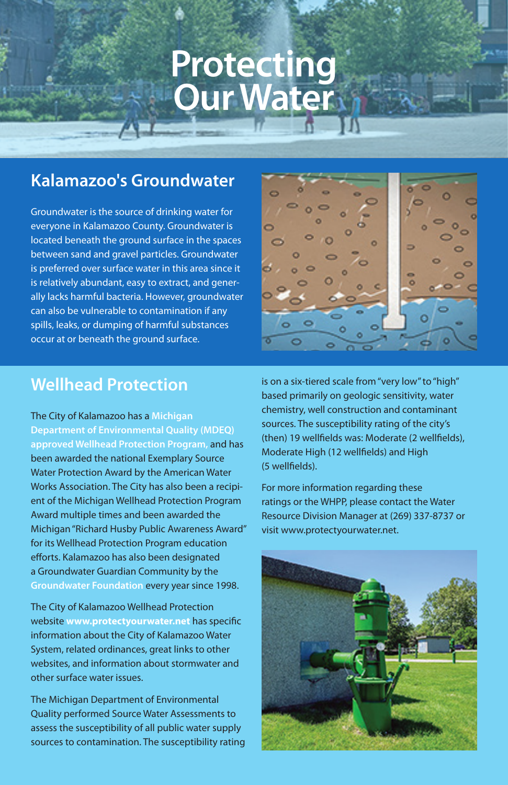## **Protecting Our Water**

## **Kalamazoo's Groundwater**

Groundwater is the source of drinking water for everyone in Kalamazoo County. Groundwater is located beneath the ground surface in the spaces between sand and gravel particles. Groundwater is preferred over surface water in this area since it is relatively abundant, easy to extract, and generally lacks harmful bacteria. However, groundwater can also be vulnerable to contamination if any spills, leaks, or dumping of harmful substances occur at or beneath the ground surface.

### **Wellhead Protection**

The City of Kalamazoo has a **Michigan Department of Environmental Quality (MDEQ) approved Wellhead Protection Program,** and has been awarded the national Exemplary Source Water Protection Award by the American Water Works Association. The City has also been a recipient of the Michigan Wellhead Protection Program Award multiple times and been awarded the Michigan "Richard Husby Public Awareness Award" for its Wellhead Protection Program education efforts. Kalamazoo has also been designated a Groundwater Guardian Community by the **Groundwater Foundation** every year since 1998.

The City of Kalamazoo Wellhead Protection website **www.protectyourwater.net** has specific information about the City of Kalamazoo Water System, related ordinances, great links to other websites, and information about stormwater and other surface water issues.

The Michigan Department of Environmental Quality performed Source Water Assessments to assess the susceptibility of all public water supply sources to contamination. The susceptibility rating is on a six-tiered scale from "very low" to "high" based primarily on geologic sensitivity, water chemistry, well construction and contaminant sources. The susceptibility rating of the city's (then) 19 wellfields was: Moderate (2 wellfields), Moderate High (12 wellfields) and High (5 wellfields).

For more information regarding these ratings or the WHPP, please contact the Water Resource Division Manager at (269) 337-8737 or visit www.protectyourwater.net.

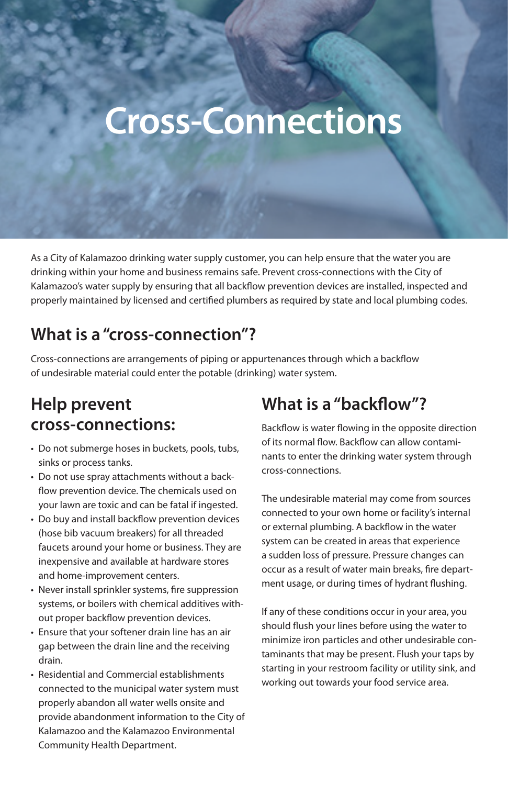# **Cross-Connections**

As a City of Kalamazoo drinking water supply customer, you can help ensure that the water you are drinking within your home and business remains safe. Prevent cross-connections with the City of Kalamazoo's water supply by ensuring that all backflow prevention devices are installed, inspected and properly maintained by licensed and certified plumbers as required by state and local plumbing codes.

## **What is a "cross-connection"?**

Cross-connections are arrangements of piping or appurtenances through which a backflow of undesirable material could enter the potable (drinking) water system.

## **Help prevent cross-connections:**

- Do not submerge hoses in buckets, pools, tubs, sinks or process tanks.
- Do not use spray attachments without a backflow prevention device. The chemicals used on your lawn are toxic and can be fatal if ingested.
- Do buy and install backflow prevention devices (hose bib vacuum breakers) for all threaded faucets around your home or business. They are inexpensive and available at hardware stores and home-improvement centers.
- Never install sprinkler systems, fire suppression systems, or boilers with chemical additives without proper backflow prevention devices.
- Ensure that your softener drain line has an air gap between the drain line and the receiving drain.
- Residential and Commercial establishments connected to the municipal water system must properly abandon all water wells onsite and provide abandonment information to the City of Kalamazoo and the Kalamazoo Environmental Community Health Department.

## **What is a "backflow"?**

Backflow is water flowing in the opposite direction of its normal flow. Backflow can allow contaminants to enter the drinking water system through cross-connections.

The undesirable material may come from sources connected to your own home or facility's internal or external plumbing. A backflow in the water system can be created in areas that experience a sudden loss of pressure. Pressure changes can occur as a result of water main breaks, fire department usage, or during times of hydrant flushing.

If any of these conditions occur in your area, you should flush your lines before using the water to minimize iron particles and other undesirable contaminants that may be present. Flush your taps by starting in your restroom facility or utility sink, and working out towards your food service area.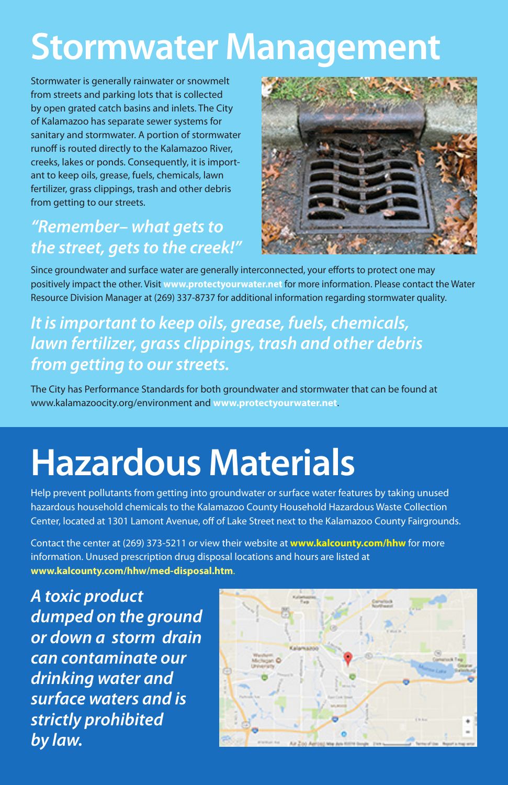## **Stormwater Management**

Stormwater is generally rainwater or snowmelt from streets and parking lots that is collected by open grated catch basins and inlets. The City of Kalamazoo has separate sewer systems for sanitary and stormwater. A portion of stormwater runoff is routed directly to the Kalamazoo River, creeks, lakes or ponds. Consequently, it is important to keep oils, grease, fuels, chemicals, lawn fertilizer, grass clippings, trash and other debris from getting to our streets.

## *"Remember– what gets to the street, gets to the creek!"*



Since groundwater and surface water are generally interconnected, your efforts to protect one may positively impact the other. Visit **www.protectyourwater.net** for more information. Please contact the Water Resource Division Manager at (269) 337-8737 for additional information regarding stormwater quality.

## *It is important to keep oils, grease, fuels, chemicals, lawn fertilizer, grass clippings, trash and other debris from getting to our streets.*

The City has Performance Standards for both groundwater and stormwater that can be found at www.kalamazoocity.org/environment and **www.protectyourwater.net**.

# **Hazardous Materials**

Help prevent pollutants from getting into groundwater or surface water features by taking unused hazardous household chemicals to the Kalamazoo County Household Hazardous Waste Collection Center, located at 1301 Lamont Avenue, off of Lake Street next to the Kalamazoo County Fairgrounds.

Contact the center at (269) 373-5211 or view their website at **www.kalcounty.com/hhw** for more information. Unused prescription drug disposal locations and hours are listed at **www.kalcounty.com/hhw/med-disposal.htm**.

*A toxic product dumped on the ground or down a storm drain can contaminate our drinking water and surface waters and is strictly prohibited by law.*

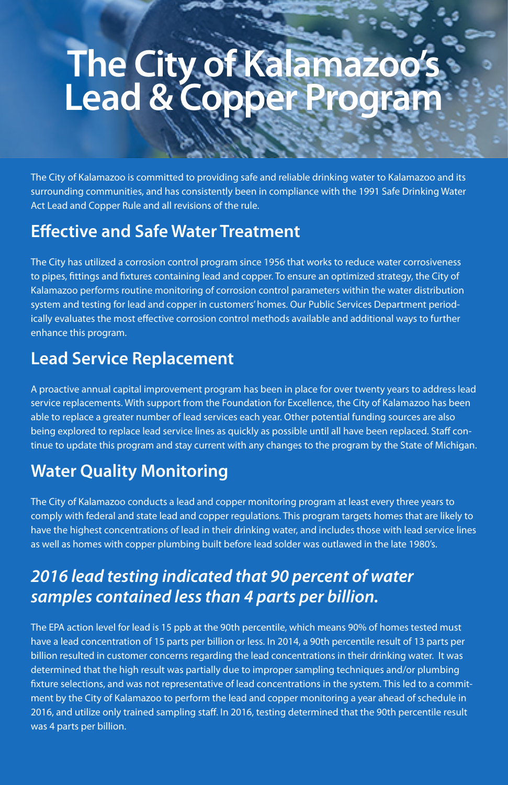## **The City of Kalamazoo's Lead & Copper Program**

The City of Kalamazoo is committed to providing safe and reliable drinking water to Kalamazoo and its surrounding communities, and has consistently been in compliance with the 1991 Safe Drinking Water Act Lead and Copper Rule and all revisions of the rule.

### **Effective and Safe Water Treatment**

The City has utilized a corrosion control program since 1956 that works to reduce water corrosiveness to pipes, fittings and fixtures containing lead and copper. To ensure an optimized strategy, the City of Kalamazoo performs routine monitoring of corrosion control parameters within the water distribution system and testing for lead and copper in customers' homes. Our Public Services Department periodically evaluates the most effective corrosion control methods available and additional ways to further enhance this program.

## **Lead Service Replacement**

A proactive annual capital improvement program has been in place for over twenty years to address lead service replacements. With support from the Foundation for Excellence, the City of Kalamazoo has been able to replace a greater number of lead services each year. Other potential funding sources are also being explored to replace lead service lines as quickly as possible until all have been replaced. Staff continue to update this program and stay current with any changes to the program by the State of Michigan.

## **Water Quality Monitoring**

The City of Kalamazoo conducts a lead and copper monitoring program at least every three years to comply with federal and state lead and copper regulations. This program targets homes that are likely to have the highest concentrations of lead in their drinking water, and includes those with lead service lines as well as homes with copper plumbing built before lead solder was outlawed in the late 1980's.

## *2016 lead testing indicated that 90 percent of water samples contained less than 4 parts per billion.*

The EPA action level for lead is 15 ppb at the 90th percentile, which means 90% of homes tested must have a lead concentration of 15 parts per billion or less. In 2014, a 90th percentile result of 13 parts per billion resulted in customer concerns regarding the lead concentrations in their drinking water. It was determined that the high result was partially due to improper sampling techniques and/or plumbing fixture selections, and was not representative of lead concentrations in the system. This led to a commitment by the City of Kalamazoo to perform the lead and copper monitoring a year ahead of schedule in 2016, and utilize only trained sampling staff. In 2016, testing determined that the 90th percentile result was 4 parts per billion.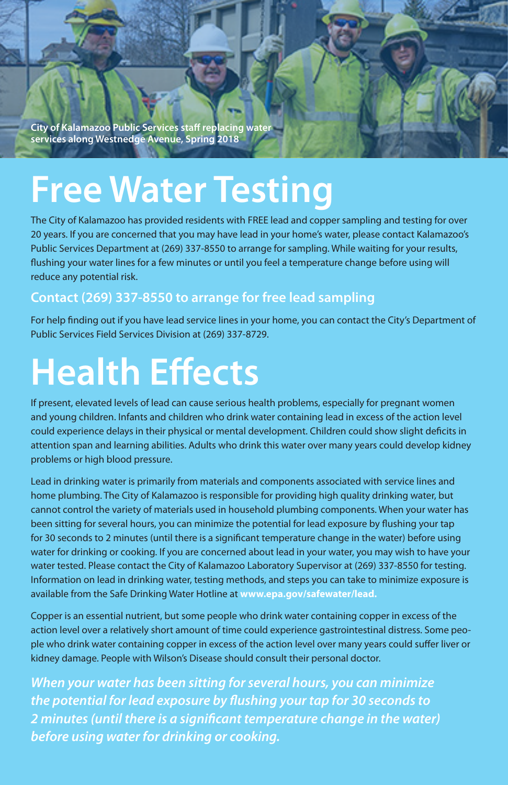**City of Kalamazoo Public Services staff replacing water services along Westnedge Avenue, Spring 2018**

## **Free Water Testing**

The City of Kalamazoo has provided residents with FREE lead and copper sampling and testing for over 20 years. If you are concerned that you may have lead in your home's water, please contact Kalamazoo's Public Services Department at (269) 337-8550 to arrange for sampling. While waiting for your results, flushing your water lines for a few minutes or until you feel a temperature change before using will reduce any potential risk.

#### **Contact (269) 337-8550 to arrange for free lead sampling**

For help finding out if you have lead service lines in your home, you can contact the City's Department of Public Services Field Services Division at (269) 337-8729.

# **Health Effects**

If present, elevated levels of lead can cause serious health problems, especially for pregnant women and young children. Infants and children who drink water containing lead in excess of the action level could experience delays in their physical or mental development. Children could show slight deficits in attention span and learning abilities. Adults who drink this water over many years could develop kidney problems or high blood pressure.

Lead in drinking water is primarily from materials and components associated with service lines and home plumbing. The City of Kalamazoo is responsible for providing high quality drinking water, but cannot control the variety of materials used in household plumbing components. When your water has been sitting for several hours, you can minimize the potential for lead exposure by flushing your tap for 30 seconds to 2 minutes (until there is a significant temperature change in the water) before using water for drinking or cooking. If you are concerned about lead in your water, you may wish to have your water tested. Please contact the City of Kalamazoo Laboratory Supervisor at (269) 337-8550 for testing. Information on lead in drinking water, testing methods, and steps you can take to minimize exposure is available from the Safe Drinking Water Hotline at **www.epa.gov/safewater/lead.**

Copper is an essential nutrient, but some people who drink water containing copper in excess of the action level over a relatively short amount of time could experience gastrointestinal distress. Some people who drink water containing copper in excess of the action level over many years could suffer liver or kidney damage. People with Wilson's Disease should consult their personal doctor.

*When your water has been sitting for several hours, you can minimize the potential for lead exposure by flushing your tap for 30 seconds to 2 minutes (until there is a significant temperature change in the water) before using water for drinking or cooking.*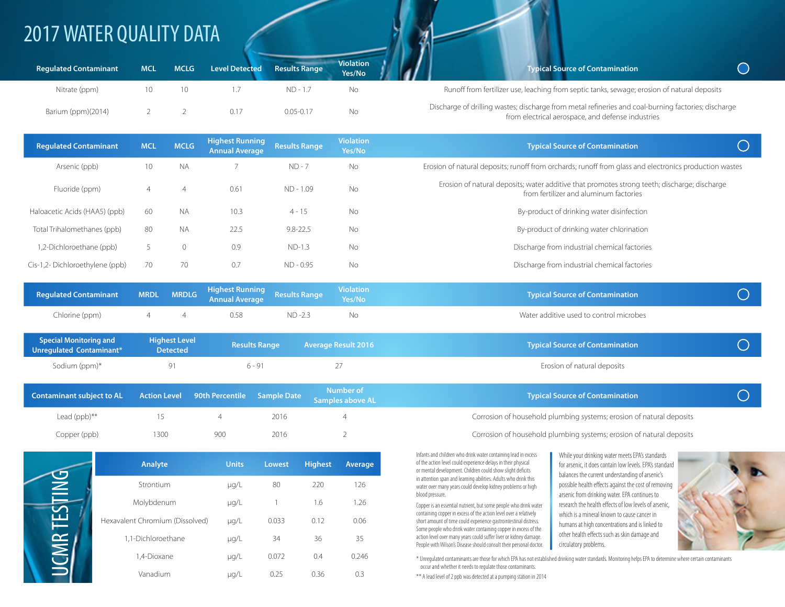## 2017 WATER QUALITY DATA

| <b>Regulated Contaminant</b> | <b>MCL</b> | <b>MCLG</b> | <b>Level Detected</b> | <b>Results Range</b> | <b>Violation</b><br>Yes/No |                                                                                                                                                          | <b>Typical Source of Contamination</b>                                                      |  |  |
|------------------------------|------------|-------------|-----------------------|----------------------|----------------------------|----------------------------------------------------------------------------------------------------------------------------------------------------------|---------------------------------------------------------------------------------------------|--|--|
| Nitrate (ppm)                |            |             |                       | $ND - 1.7$           | NΟ                         |                                                                                                                                                          | Runoff from fertilizer use, leaching from septic tanks, sewage; erosion of natural deposits |  |  |
| Barium (ppm)(2014)           |            |             | 0.17                  | $0.05 - 0.17$        | Νo                         | Discharge of drilling wastes; discharge from metal refineries and coal-burning factories; discharge<br>from electrical aerospace, and defense industries |                                                                                             |  |  |

| <b>Regulated Contaminant</b>   | <b>MCL</b> | <b>MCLG</b>  | <b>Highest Running</b><br><b>Annual Average</b> | <b>Results Range</b> | <b>Violation</b><br>Yes/No | <b>Typical Source of Contamination</b>                                                                                                 |  |  |  |
|--------------------------------|------------|--------------|-------------------------------------------------|----------------------|----------------------------|----------------------------------------------------------------------------------------------------------------------------------------|--|--|--|
| Arsenic (ppb)                  | 10         | <b>NA</b>    |                                                 | $ND - 7$             | No                         | Erosion of natural deposits; runoff from orchards; runoff from glass and electronics production wastes                                 |  |  |  |
| Fluoride (ppm)                 | 4          | 4            | 0.61                                            | ND - 1.09            | <b>No</b>                  | Erosion of natural deposits; water additive that promotes strong teeth; discharge; discharge<br>from fertilizer and aluminum factories |  |  |  |
| Haloacetic Acids (HAA5) (ppb)  | 60         | <b>NA</b>    | 10.3                                            | $4 - 15$             | <b>No</b>                  | By-product of drinking water disinfection                                                                                              |  |  |  |
| Total Trihalomethanes (ppb)    | 80         | <b>NA</b>    | 22.5                                            | $9.8 - 22.5$         | No                         | By-product of drinking water chlorination                                                                                              |  |  |  |
| 1,2-Dichloroethane (ppb)       |            | $\mathbf{0}$ | 0.9                                             | $ND-1.3$             | <b>No</b>                  | Discharge from industrial chemical factories                                                                                           |  |  |  |
| Cis-1,2-Dichloroethylene (ppb) | 70         | 70           | 0.7                                             | ND - 0.95            | <b>No</b>                  | Discharge from industrial chemical factories                                                                                           |  |  |  |

| Regulated Contaminant MRDL MRDLG Highest Running Results Range Violation |     |      |         |     | <b>Typical Source of Contamination</b>  |  |
|--------------------------------------------------------------------------|-----|------|---------|-----|-----------------------------------------|--|
| Chlorine (ppm)                                                           | 4 4 | 0.58 | $ND-23$ | No. | Water additive used to control microbes |  |

| <b>Special Monitoring and</b><br>Unregulated Contaminant*          | <b>Highest Level</b><br><b>Detected</b> |          | <b>Results Range</b> | <b>Average Result 2016</b>           | <b>Typical Source of Contamination</b>                               |  |  |
|--------------------------------------------------------------------|-----------------------------------------|----------|----------------------|--------------------------------------|----------------------------------------------------------------------|--|--|
| Sodium (ppm)*                                                      |                                         | $6 - 91$ |                      |                                      | Erosion of natural deposits                                          |  |  |
| Contaminant subject to AL Action Level 90th Percentile Sample Date |                                         |          |                      | Number of<br><b>Samples above AL</b> | <b>Typical Source of Contamination</b>                               |  |  |
| Lead $(ppb)$ **                                                    |                                         |          | 2016                 |                                      | Corrosion of household plumbing systems; erosion of natural deposits |  |  |

|             | Analyte                         | <b>Units</b> | <b>Lowest</b> | <b>Highest</b> | Average |
|-------------|---------------------------------|--------------|---------------|----------------|---------|
| DNL         | Strontium                       | $\mu$ g/L    | 80            | 220            | 126     |
|             | Molybdenum                      | $\mu$ g/L    |               | 1.6            | 1.26    |
| £           | Hexavalent Chromium (Dissolved) | µg/L         | 0.033         | 0.12           | 0.06    |
|             | 1,1-Dichloroethane              | $\mu$ g/L    | 34            | 36             | 35      |
| <b>JCMR</b> | 1.4-Dioxane                     | µg/L         | 0.072         | 0.4            | 0.246   |
|             | Vanadium                        | µg/L         | 0.25          | 0.36           | 0.3     |

Copper (ppb) 1300 900 2016 2 200 200 2016 2 Corrosion of household plumbing systems; erosion of natural deposits

Infants and children who drink water containing lead in excess of the action level could experience delays in their physical or mental development. Children could show slight deficits in attention span and learning abilities. Adults who drink this water over many years could develop kidney problems or high blood pressure.

Copper is an essential nutrient, but some people who drink water containing copper in excess of the action level over a relatively short amount of time could experience gastrointestinal distress. Some people who drink water containing copper in excess of the action level over many years could suffer liver or kidney damage. People with Wilson's Disease should consult their personal doctor. While your drinking water meets EPA's standards for arsenic, it does contain low levels. EPA's standard balances the current understanding of arsenic's possible health effects against the cost of removing arsenic from drinking water. EPA continues to research the health effects of low levels of arsenic, which is a mineral known to cause cancer in humans at high concentrations and is linked to other health effects such as skin damage and circulatory problems.



\* Unregulated contaminants are those for which EPA has not established drinking water standards. Monitoring helps EPA to determine where certain contaminants occur and whether it needs to regulate those contaminants.

\*\* A lead level of 2 ppb was detected at a pumping station in 2014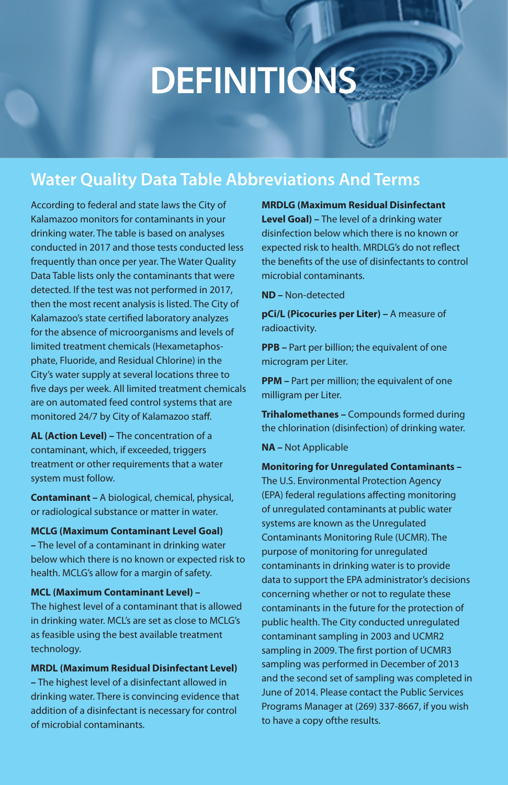# **DEFINITIONS**

## **Water Quality Data Table Abbreviations And Terms**

According to federal and state laws the City of Kalamazoo monitors for contaminants in your drinking water. The table is based on analyses conducted in 2017 and those tests conducted less frequently than once per year. The Water Quality Data Table lists only the contaminants that were detected. If the test was not performed in 2017, then the most recent analysis is listed. The City of Kalamazoo's state certified laboratory analyzes for the absence of microorganisms and levels of limited treatment chemicals (Hexametaphosphate, Fluoride, and Residual Chlorine) in the City's water supply at several locations three to five days per week. All limited treatment chemicals are on automated feed control systems that are monitored 24/7 by City of Kalamazoo staff.

**AL (Action Level) –** The concentration of a contaminant, which, if exceeded, triggers treatment or other requirements that a water system must follow.

**Contaminant –** A biological, chemical, physical, or radiological substance or matter in water.

#### **MCLG (Maximum Contaminant Level Goal)**

**–** The level of a contaminant in drinking water below which there is no known or expected risk to health. MCLG's allow for a margin of safety.

#### **MCL (Maximum Contaminant Level) –**

The highest level of a contaminant that is allowed in drinking water. MCL's are set as close to MCLG's as feasible using the best available treatment technology.

**MRDL (Maximum Residual Disinfectant Level)** 

**–** The highest level of a disinfectant allowed in drinking water. There is convincing evidence that addition of a disinfectant is necessary for control of microbial contaminants.

**MRDLG (Maximum Residual Disinfectant Level Goal) –** The level of a drinking water disinfection below which there is no known or expected risk to health. MRDLG's do not reflect the benefits of the use of disinfectants to control microbial contaminants.

**ND –** Non-detected

**pCi/L (Picocuries per Liter) –** A measure of radioactivity.

**PPB** – Part per billion; the equivalent of one microgram per Liter.

**PPM** – Part per million; the equivalent of one milligram per Liter.

**Trihalomethanes –** Compounds formed during the chlorination (disinfection) of drinking water.

**NA –** Not Applicable

**Monitoring for Unregulated Contaminants –**  The U.S. Environmental Protection Agency (EPA) federal regulations affecting monitoring of unregulated contaminants at public water systems are known as the Unregulated Contaminants Monitoring Rule (UCMR). The purpose of monitoring for unregulated contaminants in drinking water is to provide data to support the EPA administrator's decisions concerning whether or not to regulate these contaminants in the future for the protection of public health. The City conducted unregulated contaminant sampling in 2003 and UCMR2 sampling in 2009. The first portion of UCMR3 sampling was performed in December of 2013 and the second set of sampling was completed in June of 2014. Please contact the Public Services Programs Manager at (269) 337-8667, if you wish to have a copy ofthe results.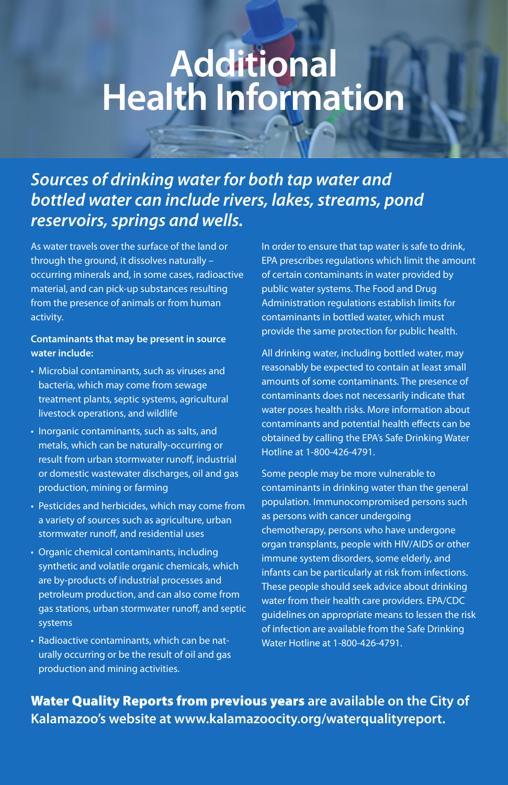## **Additional Health Information**

## *Sources of drinking water for both tap water and bottled water can include rivers, lakes, streams, pond reservoirs, springs and wells.*

As water travels over the surface of the land or through the ground, it dissolves naturally – occurring minerals and, in some cases, radioactive material, and can pick-up substances resulting from the presence of animals or from human activity.

#### **Contaminants that may be present in source water include:**

- Microbial contaminants, such as viruses and bacteria, which may come from sewage treatment plants, septic systems, agricultural livestock operations, and wildlife
- Inorganic contaminants, such as salts, and metals, which can be naturally-occurring or result from urban stormwater runoff, industrial or domestic wastewater discharges, oil and gas production, mining or farming
- Pesticides and herbicides, which may come from a variety of sources such as agriculture, urban stormwater runoff, and residential uses
- Organic chemical contaminants, including synthetic and volatile organic chemicals, which are by-products of industrial processes and petroleum production, and can also come from gas stations, urban stormwater runoff, and septic systems
- Radioactive contaminants, which can be naturally occurring or be the result of oil and gas production and mining activities.

In order to ensure that tap water is safe to drink, EPA prescribes regulations which limit the amount of certain contaminants in water provided by public water systems. The Food and Drug Administration regulations establish limits for contaminants in bottled water, which must provide the same protection for public health.

All drinking water, including bottled water, may reasonably be expected to contain at least small amounts of some contaminants. The presence of contaminants does not necessarily indicate that water poses health risks. More information about contaminants and potential health effects can be obtained by calling the EPA's Safe Drinking Water Hotline at 1-800-426-4791.

Some people may be more vulnerable to contaminants in drinking water than the general population. Immunocompromised persons such as persons with cancer undergoing chemotherapy, persons who have undergone organ transplants, people with HIV/AIDS or other immune system disorders, some elderly, and infants can be particularly at risk from infections. These people should seek advice about drinking water from their health care providers. EPA/CDC guidelines on appropriate means to lessen the risk of infection are available from the Safe Drinking Water Hotline at 1-800-426-4791.

Water Quality Reports from previous years **are available on the City of Kalamazoo's website at www.kalamazoocity.org/waterqualityreport.**